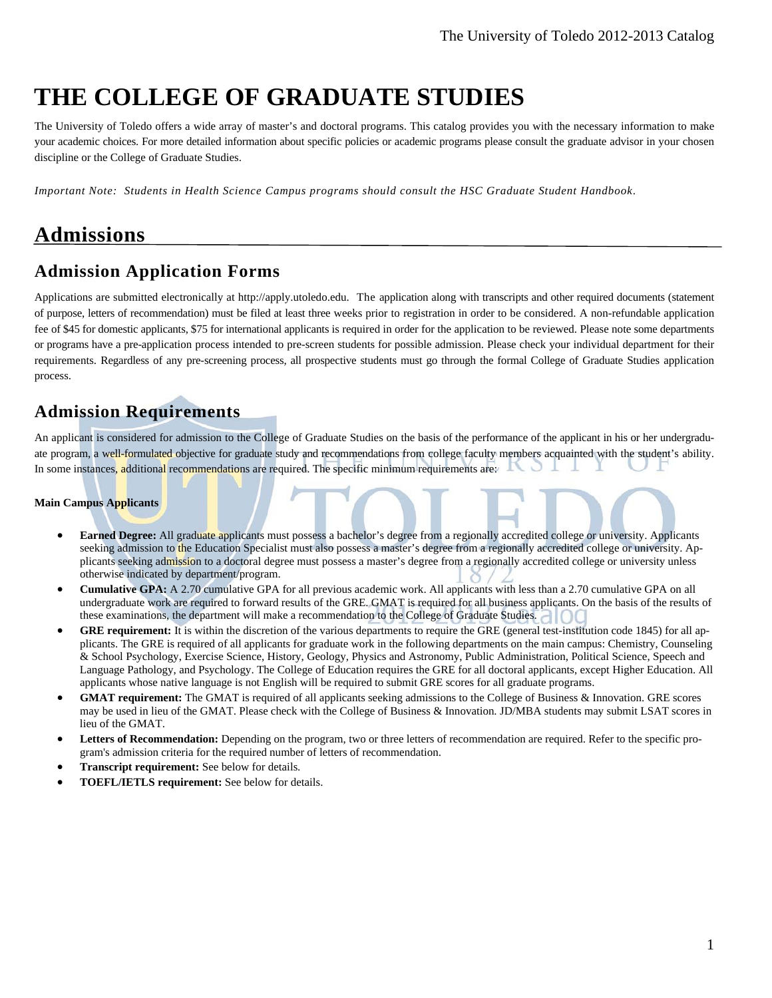# **THE COLLEGE OF GRADUATE STUDIES**

The University of Toledo offers a wide array of master's and doctoral programs. This catalog provides you with the necessary information to make your academic choices. For more detailed information about specific policies or academic programs please consult the graduate advisor in your chosen discipline or the College of Graduate Studies.

*Important Note: Students in Health Science Campus programs should consult the HSC Graduate Student Handbook*.

# **Admissions**

# **Admission Application Forms**

Applications are submitted electronically at http://apply.utoledo.edu.The application along with transcripts and other required documents (statement of purpose, letters of recommendation) must be filed at least three weeks prior to registration in order to be considered. A non-refundable application fee of \$45 for domestic applicants, \$75 for international applicants is required in order for the application to be reviewed. Please note some departments or programs have a pre-application process intended to pre-screen students for possible admission. Please check your individual department for their requirements. Regardless of any pre-screening process, all prospective students must go through the formal College of Graduate Studies application process.

# **Admission Requirements**

An applicant is considered for admission to the College of Graduate Studies on the basis of the performance of the applicant in his or her undergraduate program, a well-formulated objective for graduate study and recommendations from college faculty members acquainted with the student's ability. In some instances, additional recommendations are required. The specific minimum requirements are:

#### **Main Campus Applicants**

- **Earned Degree:** All graduate applicants must possess a bachelor's degree from a regionally accredited college or university. Applicants seeking admission to the Education Specialist must also possess a master's degree from a regionally accredited college or university. Applicants seeking admission to a doctoral degree must possess a master's degree from a regionally accredited college or university unless otherwise indicated by department/program.
- **Cumulative GPA:** A 2.70 cumulative GPA for all previous academic work. All applicants with less than a 2.70 cumulative GPA on all undergraduate work are required to forward results of the GRE. GMAT is required for all business applicants. On the basis of the results of these examinations, the department will make a recommendation to the College of Graduate Studies.
- **GRE requirement:** It is within the discretion of the various departments to require the GRE (general test-institution code 1845) for all applicants. The GRE is required of all applicants for graduate work in the following departments on the main campus: Chemistry, Counseling & School Psychology, Exercise Science, History, Geology, Physics and Astronomy, Public Administration, Political Science, Speech and Language Pathology, and Psychology. The College of Education requires the GRE for all doctoral applicants, except Higher Education. All applicants whose native language is not English will be required to submit GRE scores for all graduate programs.
- **GMAT requirement:** The GMAT is required of all applicants seeking admissions to the College of Business & Innovation. GRE scores may be used in lieu of the GMAT. Please check with the College of Business & Innovation. JD/MBA students may submit LSAT scores in lieu of the GMAT.
- **Letters of Recommendation:** Depending on the program, two or three letters of recommendation are required. Refer to the specific program's admission criteria for the required number of letters of recommendation.
- **Transcript requirement:** See below for details.
- **TOEFL/IETLS requirement:** See below for details.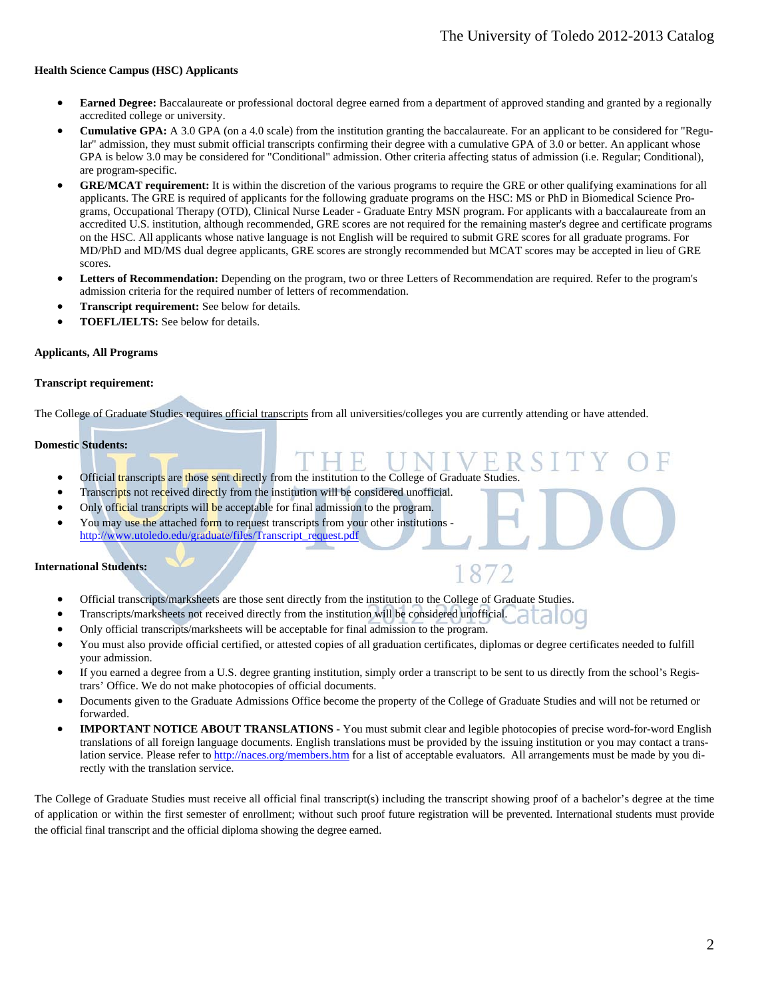#### **Health Science Campus (HSC) Applicants**

- **Earned Degree:** Baccalaureate or professional doctoral degree earned from a department of approved standing and granted by a regionally accredited college or university.
- **Cumulative GPA:** A 3.0 GPA (on a 4.0 scale) from the institution granting the baccalaureate. For an applicant to be considered for "Regular" admission, they must submit official transcripts confirming their degree with a cumulative GPA of 3.0 or better. An applicant whose GPA is below 3.0 may be considered for "Conditional" admission. Other criteria affecting status of admission (i.e. Regular; Conditional), are program-specific.
- **GRE/MCAT requirement:** It is within the discretion of the various programs to require the GRE or other qualifying examinations for all applicants. The GRE is required of applicants for the following graduate programs on the HSC: MS or PhD in Biomedical Science Programs, Occupational Therapy (OTD), Clinical Nurse Leader - Graduate Entry MSN program. For applicants with a baccalaureate from an accredited U.S. institution, although recommended, GRE scores are not required for the remaining master's degree and certificate programs on the HSC. All applicants whose native language is not English will be required to submit GRE scores for all graduate programs. For MD/PhD and MD/MS dual degree applicants, GRE scores are strongly recommended but MCAT scores may be accepted in lieu of GRE scores.
- Letters of Recommendation: Depending on the program, two or three Letters of Recommendation are required. Refer to the program's admission criteria for the required number of letters of recommendation.
- **Transcript requirement:** See below for details.
- **TOEFL/IELTS:** See below for details.

#### **Applicants, All Programs**

#### **Transcript requirement:**

The College of Graduate Studies requires official transcripts from all universities/colleges you are currently attending or have attended.

#### **Domestic Students:**

- Official transcripts are those sent directly from the institution to the College of Graduate Studies.
- Transcripts not received directly from the institution will be considered unofficial.
- Only official transcripts will be acceptable for final admission to the program.
- You may use the attached form to request transcripts from your other institutions http://www.utoledo.edu/graduate/files/Transcript\_request.pdf

#### **International Students:**

- Official transcripts/marksheets are those sent directly from the institution to the College of Graduate Studies.
- Transcripts/marksheets not received directly from the institution will be considered unofficial.
- Only official transcripts/marksheets will be acceptable for final admission to the program.
- You must also provide official certified, or attested copies of all graduation certificates, diplomas or degree certificates needed to fulfill your admission.

187

- If you earned a degree from a U.S. degree granting institution, simply order a transcript to be sent to us directly from the school's Registrars' Office. We do not make photocopies of official documents.
- Documents given to the Graduate Admissions Office become the property of the College of Graduate Studies and will not be returned or forwarded.
- **IMPORTANT NOTICE ABOUT TRANSLATIONS** You must submit clear and legible photocopies of precise word-for-word English translations of all foreign language documents. English translations must be provided by the issuing institution or you may contact a translation service. Please refer to http://naces.org/members.htm for a list of acceptable evaluators. All arrangements must be made by you directly with the translation service.

The College of Graduate Studies must receive all official final transcript(s) including the transcript showing proof of a bachelor's degree at the time of application or within the first semester of enrollment; without such proof future registration will be prevented. International students must provide the official final transcript and the official diploma showing the degree earned.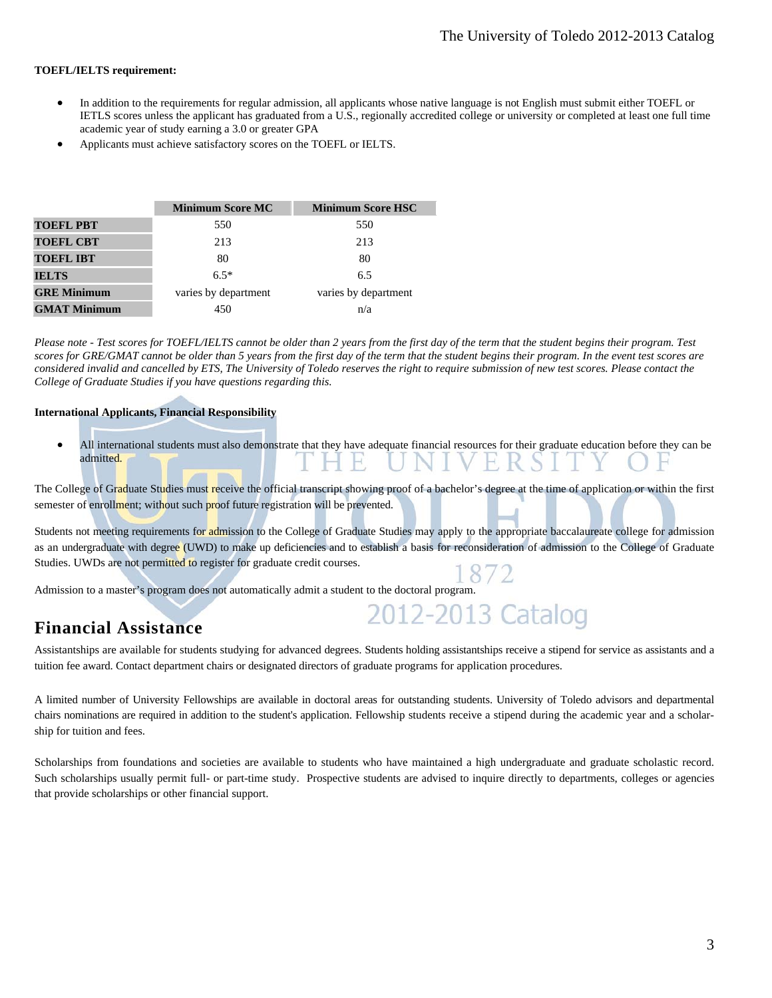#### **TOEFL/IELTS requirement:**

- In addition to the requirements for regular admission, all applicants whose native language is not English must submit either TOEFL or IETLS scores unless the applicant has graduated from a U.S., regionally accredited college or university or completed at least one full time academic year of study earning a 3.0 or greater GPA
- Applicants must achieve satisfactory scores on the TOEFL or IELTS.

|                     | <b>Minimum Score MC</b> | <b>Minimum Score HSC</b> |
|---------------------|-------------------------|--------------------------|
| <b>TOEFL PBT</b>    | 550                     | 550                      |
| <b>TOEFL CBT</b>    | 213                     | 213                      |
| <b>TOEFL IBT</b>    | 80                      | 80                       |
| <b>IELTS</b>        | $6.5*$                  | 6.5                      |
| <b>GRE Minimum</b>  | varies by department    | varies by department     |
| <b>GMAT Minimum</b> | 450                     | n/a                      |

*Please note - Test scores for TOEFL/IELTS cannot be older than 2 years from the first day of the term that the student begins their program. Test scores for GRE/GMAT cannot be older than 5 years from the first day of the term that the student begins their program. In the event test scores are considered invalid and cancelled by ETS, The University of Toledo reserves the right to require submission of new test scores. Please contact the College of Graduate Studies if you have questions regarding this.*

#### **International Applicants, Financial Responsibility**

 All international students must also demonstrate that they have adequate financial resources for their graduate education before they can be admitted. н. K S

The College of Graduate Studies must receive the official transcript showing proof of a bachelor's degree at the time of application or within the first semester of enrollment; without such proof future registration will be prevented.

Students not meeting requirements for admission to the College of Graduate Studies may apply to the appropriate baccalaureate college for admission as an undergraduate with degree (UWD) to make up deficiencies and to establish a basis for reconsideration of admission to the College of Graduate Studies. UWDs are not permitted to register for graduate credit courses.

Admission to a master's program does not automatically admit a student to the doctoral program.

#### **Financial Assistance**

Assistantships are available for students studying for advanced degrees. Students holding assistantships receive a stipend for service as assistants and a tuition fee award. Contact department chairs or designated directors of graduate programs for application procedures.

2012-2013 Catalog

A limited number of University Fellowships are available in doctoral areas for outstanding students. University of Toledo advisors and departmental chairs nominations are required in addition to the student's application. Fellowship students receive a stipend during the academic year and a scholarship for tuition and fees.

Scholarships from foundations and societies are available to students who have maintained a high undergraduate and graduate scholastic record. Such scholarships usually permit full- or part-time study. Prospective students are advised to inquire directly to departments, colleges or agencies that provide scholarships or other financial support.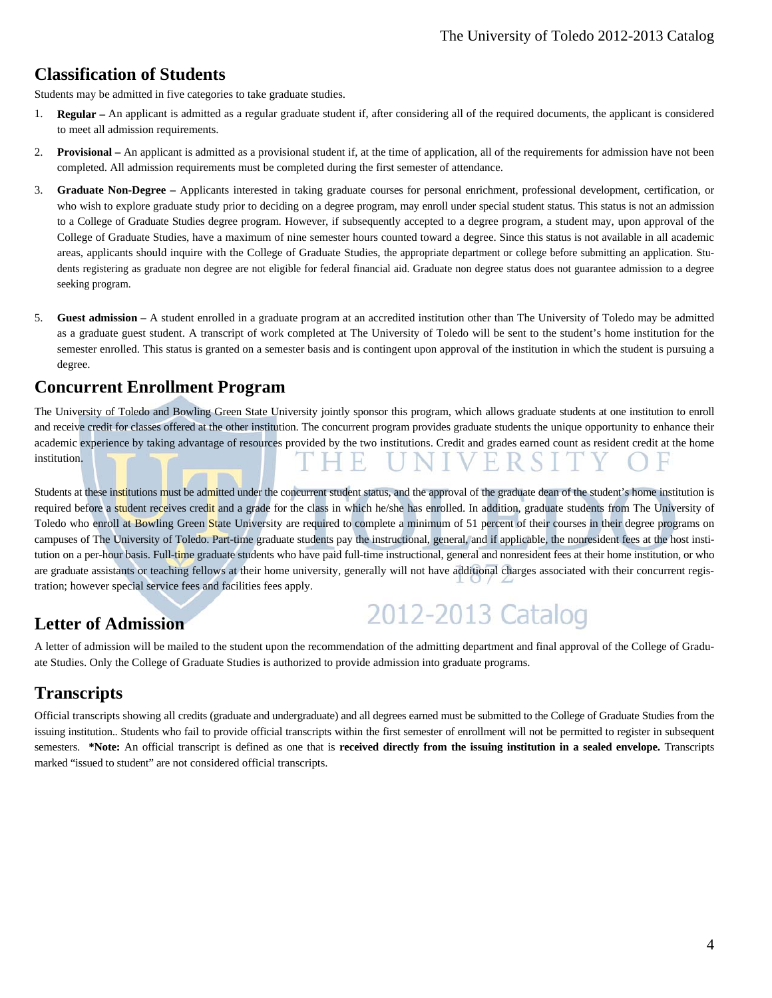### **Classification of Students**

Students may be admitted in five categories to take graduate studies.

- 1. **Regular** An applicant is admitted as a regular graduate student if, after considering all of the required documents, the applicant is considered to meet all admission requirements.
- 2. **Provisional** An applicant is admitted as a provisional student if, at the time of application, all of the requirements for admission have not been completed. All admission requirements must be completed during the first semester of attendance.
- 3. **Graduate Non-Degree** Applicants interested in taking graduate courses for personal enrichment, professional development, certification, or who wish to explore graduate study prior to deciding on a degree program, may enroll under special student status. This status is not an admission to a College of Graduate Studies degree program. However, if subsequently accepted to a degree program, a student may, upon approval of the College of Graduate Studies, have a maximum of nine semester hours counted toward a degree. Since this status is not available in all academic areas, applicants should inquire with the College of Graduate Studies, the appropriate department or college before submitting an application. Students registering as graduate non degree are not eligible for federal financial aid. Graduate non degree status does not guarantee admission to a degree seeking program.
- 5. **Guest admission** A student enrolled in a graduate program at an accredited institution other than The University of Toledo may be admitted as a graduate guest student. A transcript of work completed at The University of Toledo will be sent to the student's home institution for the semester enrolled. This status is granted on a semester basis and is contingent upon approval of the institution in which the student is pursuing a degree.

### **Concurrent Enrollment Program**

The University of Toledo and Bowling Green State University jointly sponsor this program, which allows graduate students at one institution to enroll and receive credit for classes offered at the other institution. The concurrent program provides graduate students the unique opportunity to enhance their academic experience by taking advantage of resources provided by the two institutions. Credit and grades earned count as resident credit at the home institution.

Students at these institutions must be admitted under the concurrent student status, and the approval of the graduate dean of the student's home institution is required before a student receives credit and a grade for the class in which he/she has enrolled. In addition, graduate students from The University of Toledo who enroll at Bowling Green State University are required to complete a minimum of 51 percent of their courses in their degree programs on campuses of The University of Toledo. Part-time graduate students pay the instructional, general, and if applicable, the nonresident fees at the host institution on a per-hour basis. Full-time graduate students who have paid full-time instructional, general and nonresident fees at their home institution, or who are graduate assistants or teaching fellows at their home university, generally will not have additional charges associated with their concurrent registration; however special service fees and facilities fees apply.

### **Letter of Admission**

2012-2013 Catalog

A letter of admission will be mailed to the student upon the recommendation of the admitting department and final approval of the College of Graduate Studies. Only the College of Graduate Studies is authorized to provide admission into graduate programs.

# **Transcripts**

Official transcripts showing all credits (graduate and undergraduate) and all degrees earned must be submitted to the College of Graduate Studies from the issuing institution.. Students who fail to provide official transcripts within the first semester of enrollment will not be permitted to register in subsequent semesters. **\*Note:** An official transcript is defined as one that is **received directly from the issuing institution in a sealed envelope.** Transcripts marked "issued to student" are not considered official transcripts.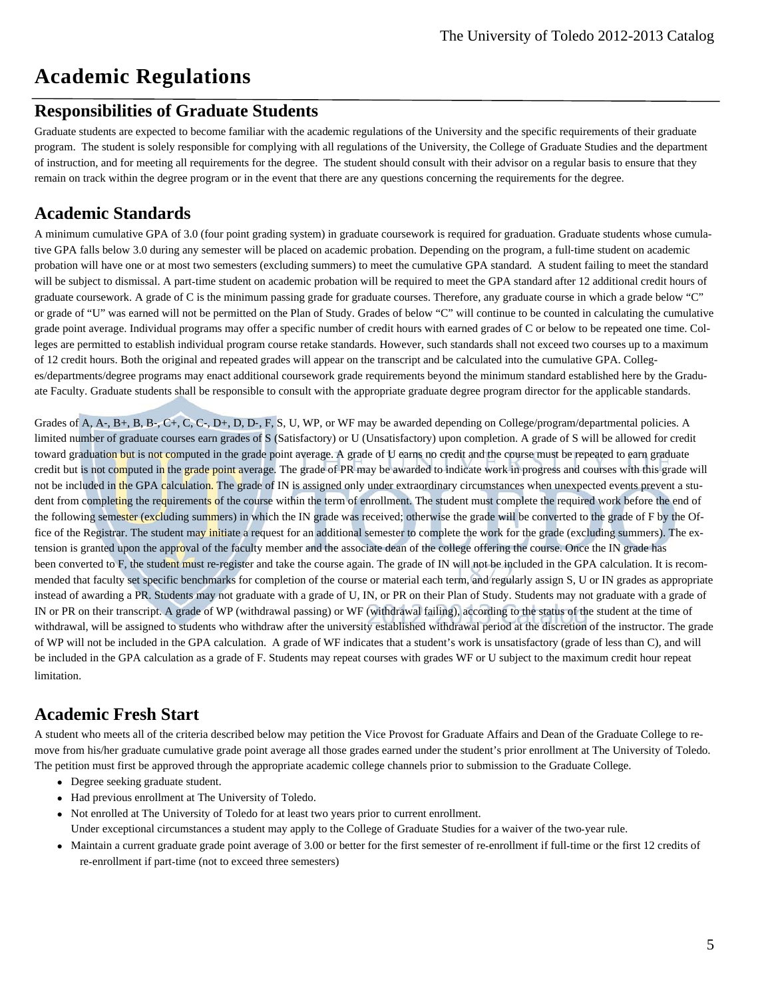# **Academic Regulations**

## **Responsibilities of Graduate Students**

Graduate students are expected to become familiar with the academic regulations of the University and the specific requirements of their graduate program. The student is solely responsible for complying with all regulations of the University, the College of Graduate Studies and the department of instruction, and for meeting all requirements for the degree. The student should consult with their advisor on a regular basis to ensure that they remain on track within the degree program or in the event that there are any questions concerning the requirements for the degree.

# **Academic Standards**

A minimum cumulative GPA of 3.0 (four point grading system) in graduate coursework is required for graduation. Graduate students whose cumulative GPA falls below 3.0 during any semester will be placed on academic probation. Depending on the program, a full-time student on academic probation will have one or at most two semesters (excluding summers) to meet the cumulative GPA standard. A student failing to meet the standard will be subject to dismissal. A part-time student on academic probation will be required to meet the GPA standard after 12 additional credit hours of graduate coursework. A grade of C is the minimum passing grade for graduate courses. Therefore, any graduate course in which a grade below "C" or grade of "U" was earned will not be permitted on the Plan of Study. Grades of below "C" will continue to be counted in calculating the cumulative grade point average. Individual programs may offer a specific number of credit hours with earned grades of C or below to be repeated one time. Colleges are permitted to establish individual program course retake standards. However, such standards shall not exceed two courses up to a maximum of 12 credit hours. Both the original and repeated grades will appear on the transcript and be calculated into the cumulative GPA. Colleges/departments/degree programs may enact additional coursework grade requirements beyond the minimum standard established here by the Graduate Faculty. Graduate students shall be responsible to consult with the appropriate graduate degree program director for the applicable standards.

Grades of A, A-, B+, B, B-, C+, C, C-, D+, D, D-, F, S, U, WP, or WF may be awarded depending on College/program/departmental policies. A limited number of graduate courses earn grades of S (Satisfactory) or U (Unsatisfactory) upon completion. A grade of S will be allowed for credit toward graduation but is not computed in the grade point average. A grade of U earns no credit and the course must be repeated to earn graduate credit but is not computed in the grade point average. The grade of PR may be awarded to indicate work in progress and courses with this grade will not be included in the GPA calculation. The grade of IN is assigned only under extraordinary circumstances when unexpected events prevent a student from completing the requirements of the course within the term of enrollment. The student must complete the required work before the end of the following semester (excluding summers) in which the IN grade was received; otherwise the grade will be converted to the grade of F by the Office of the Registrar. The student may initiate a request for an additional semester to complete the work for the grade (excluding summers). The extension is granted upon the approval of the faculty member and the associate dean of the college offering the course. Once the IN grade has been converted to F, the student must re-register and take the course again. The grade of IN will not be included in the GPA calculation. It is recommended that faculty set specific benchmarks for completion of the course or material each term, and regularly assign S, U or IN grades as appropriate instead of awarding a PR. Students may not graduate with a grade of U, IN, or PR on their Plan of Study. Students may not graduate with a grade of IN or PR on their transcript. A grade of WP (withdrawal passing) or WF (withdrawal failing), according to the status of the student at the time of withdrawal, will be assigned to students who withdraw after the university established withdrawal period at the discretion of the instructor. The grade of WP will not be included in the GPA calculation. A grade of WF indicates that a student's work is unsatisfactory (grade of less than C), and will be included in the GPA calculation as a grade of F. Students may repeat courses with grades WF or U subject to the maximum credit hour repeat limitation.

### **Academic Fresh Start**

A student who meets all of the criteria described below may petition the Vice Provost for Graduate Affairs and Dean of the Graduate College to remove from his/her graduate cumulative grade point average all those grades earned under the student's prior enrollment at The University of Toledo. The petition must first be approved through the appropriate academic college channels prior to submission to the Graduate College.

- Degree seeking graduate student.
- Had previous enrollment at The University of Toledo.
- Not enrolled at The University of Toledo for at least two years prior to current enrollment. Under exceptional circumstances a student may apply to the College of Graduate Studies for a waiver of the two-year rule.
- Maintain a current graduate grade point average of 3.00 or better for the first semester of re-enrollment if full-time or the first 12 credits of re‐enrollment if part‐time (not to exceed three semesters)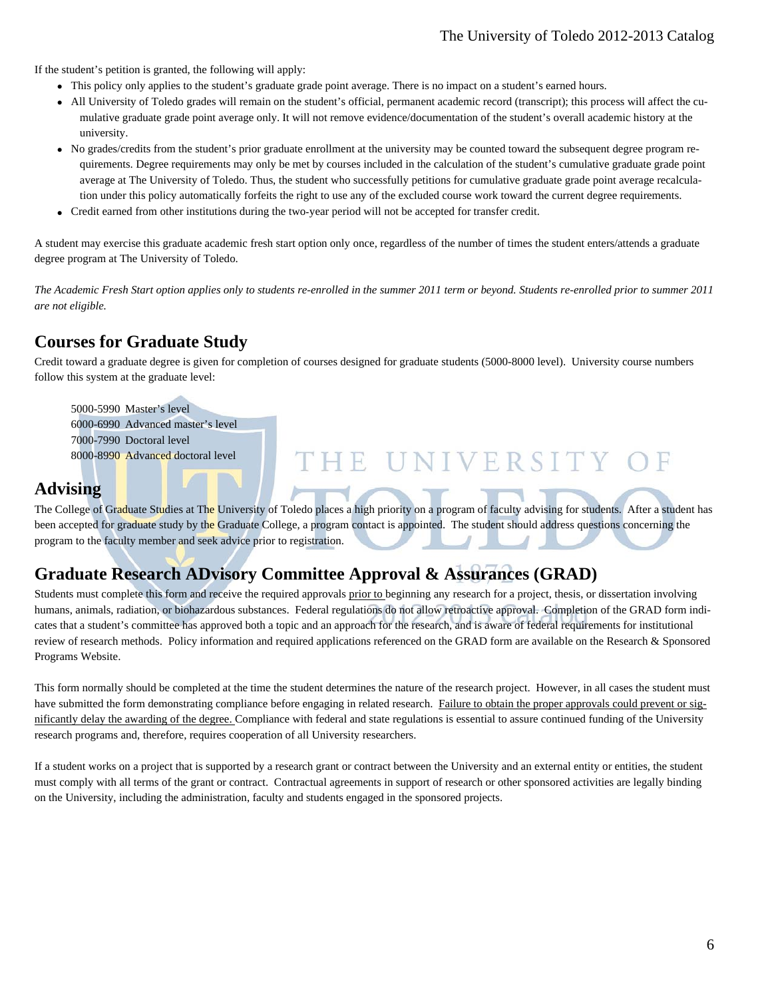#### The University of Toledo 2012-2013 Catalog

If the student's petition is granted, the following will apply:

- This policy only applies to the student's graduate grade point average. There is no impact on a student's earned hours.
- All University of Toledo grades will remain on the student's official, permanent academic record (transcript); this process will affect the cumulative graduate grade point average only. It will not remove evidence/documentation of the student's overall academic history at the university.
- No grades/credits from the student's prior graduate enrollment at the university may be counted toward the subsequent degree program requirements. Degree requirements may only be met by courses included in the calculation of the student's cumulative graduate grade point average at The University of Toledo. Thus, the student who successfully petitions for cumulative graduate grade point average recalculation under this policy automatically forfeits the right to use any of the excluded course work toward the current degree requirements.
- Credit earned from other institutions during the two‐year period will not be accepted for transfer credit.

A student may exercise this graduate academic fresh start option only once, regardless of the number of times the student enters/attends a graduate degree program at The University of Toledo.

*The Academic Fresh Start option applies only to students re-enrolled in the summer 2011 term or beyond. Students re-enrolled prior to summer 2011 are not eligible.* 

# **Courses for Graduate Study**

Credit toward a graduate degree is given for completion of courses designed for graduate students (5000-8000 level). University course numbers follow this system at the graduate level:

 5000-5990 Master's level 6000-6990 Advanced master's level 7000-7990 Doctoral level 8000-8990 Advanced doctoral level

#### **Advising**

The College of Graduate Studies at The University of Toledo places a high priority on a program of faculty advising for students. After a student has been accepted for graduate study by the Graduate College, a program contact is appointed. The student should address questions concerning the program to the faculty member and seek advice prior to registration.

THE UNIVERSITY

# **Graduate Research ADvisory Committee Approval & Assurances (GRAD)**

Students must complete this form and receive the required approvals prior to beginning any research for a project, thesis, or dissertation involving humans, animals, radiation, or biohazardous substances. Federal regulations do not allow retroactive approval. Completion of the GRAD form indicates that a student's committee has approved both a topic and an approach for the research, and is aware of federal requirements for institutional review of research methods. Policy information and required applications referenced on the GRAD form are available on the Research & Sponsored Programs Website.

This form normally should be completed at the time the student determines the nature of the research project. However, in all cases the student must have submitted the form demonstrating compliance before engaging in related research. Failure to obtain the proper approvals could prevent or significantly delay the awarding of the degree. Compliance with federal and state regulations is essential to assure continued funding of the University research programs and, therefore, requires cooperation of all University researchers.

If a student works on a project that is supported by a research grant or contract between the University and an external entity or entities, the student must comply with all terms of the grant or contract. Contractual agreements in support of research or other sponsored activities are legally binding on the University, including the administration, faculty and students engaged in the sponsored projects.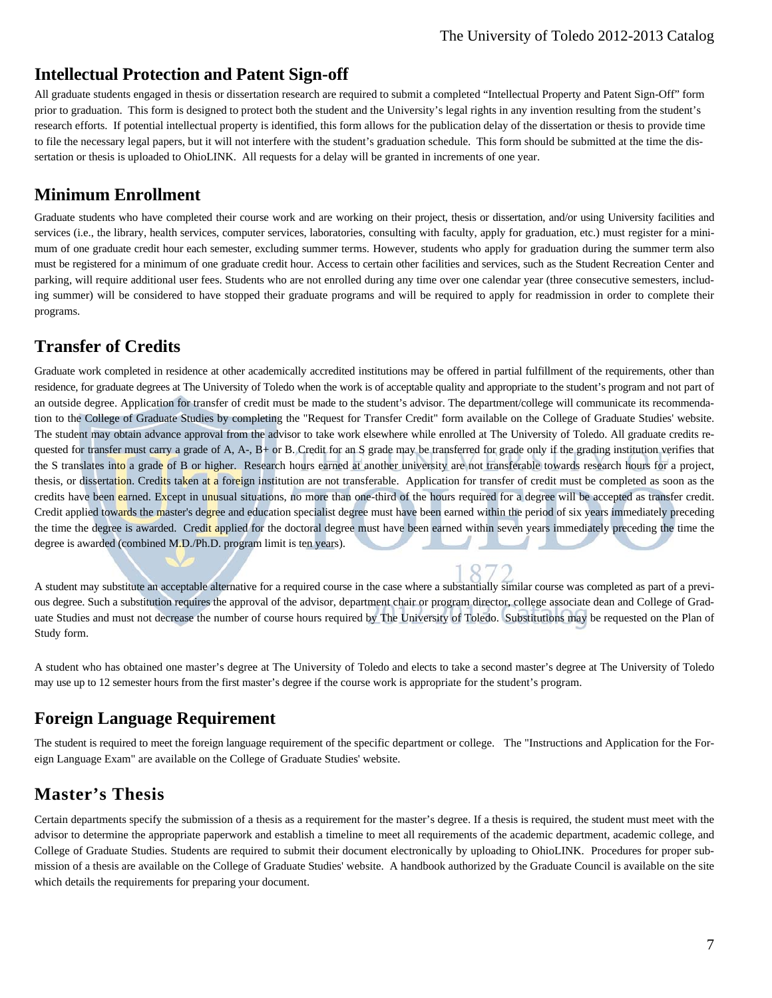#### **Intellectual Protection and Patent Sign-off**

All graduate students engaged in thesis or dissertation research are required to submit a completed "Intellectual Property and Patent Sign-Off" form prior to graduation. This form is designed to protect both the student and the University's legal rights in any invention resulting from the student's research efforts. If potential intellectual property is identified, this form allows for the publication delay of the dissertation or thesis to provide time to file the necessary legal papers, but it will not interfere with the student's graduation schedule. This form should be submitted at the time the dissertation or thesis is uploaded to OhioLINK. All requests for a delay will be granted in increments of one year.

#### **Minimum Enrollment**

Graduate students who have completed their course work and are working on their project, thesis or dissertation, and/or using University facilities and services (i.e., the library, health services, computer services, laboratories, consulting with faculty, apply for graduation, etc.) must register for a minimum of one graduate credit hour each semester, excluding summer terms. However, students who apply for graduation during the summer term also must be registered for a minimum of one graduate credit hour. Access to certain other facilities and services, such as the Student Recreation Center and parking, will require additional user fees. Students who are not enrolled during any time over one calendar year (three consecutive semesters, including summer) will be considered to have stopped their graduate programs and will be required to apply for readmission in order to complete their programs.

## **Transfer of Credits**

Graduate work completed in residence at other academically accredited institutions may be offered in partial fulfillment of the requirements, other than residence, for graduate degrees at The University of Toledo when the work is of acceptable quality and appropriate to the student's program and not part of an outside degree. Application for transfer of credit must be made to the student's advisor. The department/college will communicate its recommendation to the College of Graduate Studies by completing the "Request for Transfer Credit" form available on the College of Graduate Studies' website. The student may obtain advance approval from the advisor to take work elsewhere while enrolled at The University of Toledo. All graduate credits requested for transfer must carry a grade of A, A-, B+ or B. Credit for an S grade may be transferred for grade only if the grading institution verifies that the S translates into a grade of B or higher. Research hours earned at another university are not transferable towards research hours for a project, thesis, or dissertation. Credits taken at a foreign institution are not transferable. Application for transfer of credit must be completed as soon as the credits have been earned. Except in unusual situations, no more than one-third of the hours required for a degree will be accepted as transfer credit. Credit applied towards the master's degree and education specialist degree must have been earned within the period of six years immediately preceding the time the degree is awarded. Credit applied for the doctoral degree must have been earned within seven years immediately preceding the time the degree is awarded (combined M.D./Ph.D. program limit is ten years).

A student may substitute an acceptable alternative for a required course in the case where a substantially similar course was completed as part of a previous degree. Such a substitution requires the approval of the advisor, department chair or program director, college associate dean and College of Graduate Studies and must not decrease the number of course hours required by The University of Toledo. Substitutions may be requested on the Plan of Study form.

1872

A student who has obtained one master's degree at The University of Toledo and elects to take a second master's degree at The University of Toledo may use up to 12 semester hours from the first master's degree if the course work is appropriate for the student's program.

### **Foreign Language Requirement**

The student is required to meet the foreign language requirement of the specific department or college. The "Instructions and Application for the Foreign Language Exam" are available on the College of Graduate Studies' website.

# **Master's Thesis**

Certain departments specify the submission of a thesis as a requirement for the master's degree. If a thesis is required, the student must meet with the advisor to determine the appropriate paperwork and establish a timeline to meet all requirements of the academic department, academic college, and College of Graduate Studies. Students are required to submit their document electronically by uploading to OhioLINK. Procedures for proper submission of a thesis are available on the College of Graduate Studies' website. A handbook authorized by the Graduate Council is available on the site which details the requirements for preparing your document.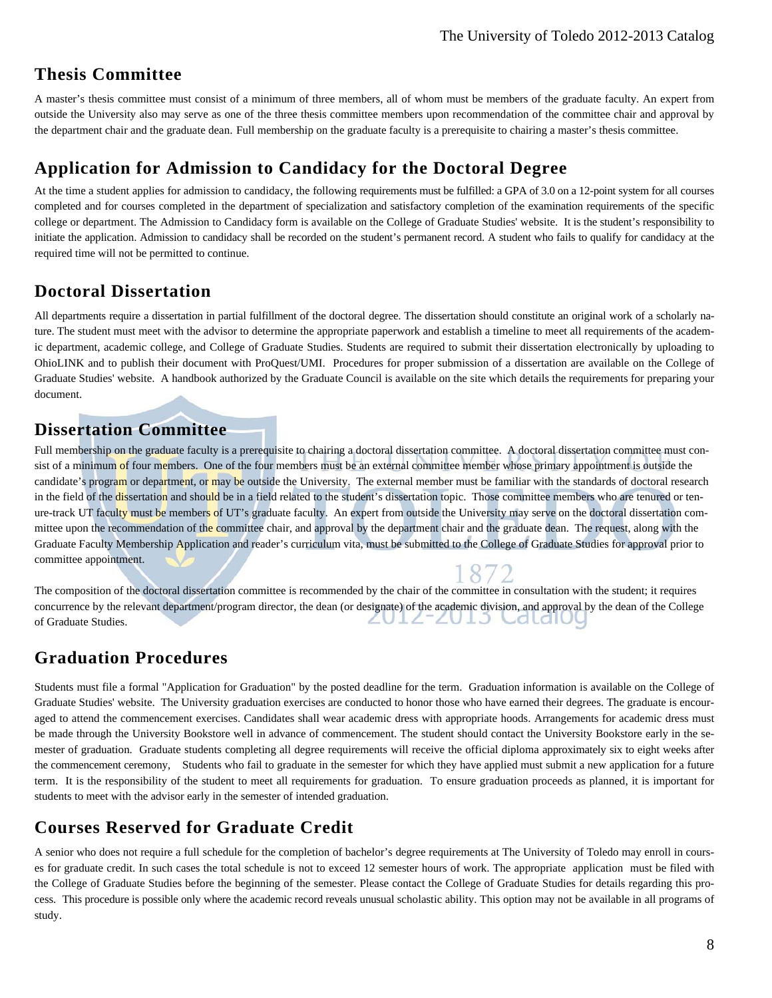#### **Thesis Committee**

A master's thesis committee must consist of a minimum of three members, all of whom must be members of the graduate faculty. An expert from outside the University also may serve as one of the three thesis committee members upon recommendation of the committee chair and approval by the department chair and the graduate dean. Full membership on the graduate faculty is a prerequisite to chairing a master's thesis committee.

#### **Application for Admission to Candidacy for the Doctoral Degree**

At the time a student applies for admission to candidacy, the following requirements must be fulfilled: a GPA of 3.0 on a 12-point system for all courses completed and for courses completed in the department of specialization and satisfactory completion of the examination requirements of the specific college or department. The Admission to Candidacy form is available on the College of Graduate Studies' website. It is the student's responsibility to initiate the application. Admission to candidacy shall be recorded on the student's permanent record. A student who fails to qualify for candidacy at the required time will not be permitted to continue.

### **Doctoral Dissertation**

All departments require a dissertation in partial fulfillment of the doctoral degree. The dissertation should constitute an original work of a scholarly nature. The student must meet with the advisor to determine the appropriate paperwork and establish a timeline to meet all requirements of the academic department, academic college, and College of Graduate Studies. Students are required to submit their dissertation electronically by uploading to OhioLINK and to publish their document with ProQuest/UMI. Procedures for proper submission of a dissertation are available on the College of Graduate Studies' website. A handbook authorized by the Graduate Council is available on the site which details the requirements for preparing your document.

### **Dissertation Committee**

Full membership on the graduate faculty is a prerequisite to chairing a doctoral dissertation committee. A doctoral dissertation committee must consist of a minimum of four members. One of the four members must be an external committee member whose primary appointment is outside the candidate's program or department, or may be outside the University. The external member must be familiar with the standards of doctoral research in the field of the dissertation and should be in a field related to the student's dissertation topic. Those committee members who are tenured or tenure-track UT faculty must be members of UT's graduate faculty. An expert from outside the University may serve on the doctoral dissertation committee upon the recommendation of the committee chair, and approval by the department chair and the graduate dean. The request, along with the Graduate Faculty Membership Application and reader's curriculum vita, must be submitted to the College of Graduate Studies for approval prior to committee appointment. 1872

The composition of the doctoral dissertation committee is recommended by the chair of the committee in consultation with the student; it requires concurrence by the relevant department/program director, the dean (or designate) of the academic division, and approval by the dean of the College ZUIZ-ZUIJ Caldil of Graduate Studies.

### **Graduation Procedures**

Students must file a formal "Application for Graduation" by the posted deadline for the term. Graduation information is available on the College of Graduate Studies' website. The University graduation exercises are conducted to honor those who have earned their degrees. The graduate is encouraged to attend the commencement exercises. Candidates shall wear academic dress with appropriate hoods. Arrangements for academic dress must be made through the University Bookstore well in advance of commencement. The student should contact the University Bookstore early in the semester of graduation. Graduate students completing all degree requirements will receive the official diploma approximately six to eight weeks after the commencement ceremony, Students who fail to graduate in the semester for which they have applied must submit a new application for a future term. It is the responsibility of the student to meet all requirements for graduation. To ensure graduation proceeds as planned, it is important for students to meet with the advisor early in the semester of intended graduation.

### **Courses Reserved for Graduate Credit**

A senior who does not require a full schedule for the completion of bachelor's degree requirements at The University of Toledo may enroll in courses for graduate credit. In such cases the total schedule is not to exceed 12 semester hours of work. The appropriate application must be filed with the College of Graduate Studies before the beginning of the semester. Please contact the College of Graduate Studies for details regarding this process. This procedure is possible only where the academic record reveals unusual scholastic ability. This option may not be available in all programs of study.